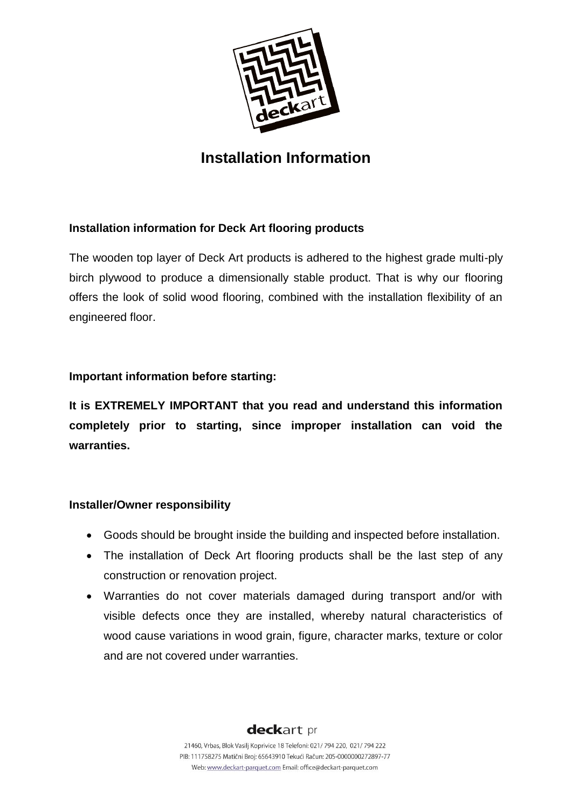

# **Installation Information**

# **Installation information for Deck Art flooring products**

The wooden top layer of Deck Art products is adhered to the highest grade multi-ply birch plywood to produce a dimensionally stable product. That is why our flooring offers the look of solid wood flooring, combined with the installation flexibility of an engineered floor.

# **Important information before starting:**

**It is EXTREMELY IMPORTANT that you read and understand this information completely prior to starting, since improper installation can void the warranties.**

# **Installer/Owner responsibility**

- Goods should be brought inside the building and inspected before installation.
- The installation of Deck Art flooring products shall be the last step of any construction or renovation project.
- Warranties do not cover materials damaged during transport and/or with visible defects once they are installed, whereby natural characteristics of wood cause variations in wood grain, figure, character marks, texture or color and are not covered under warranties.

deckart pr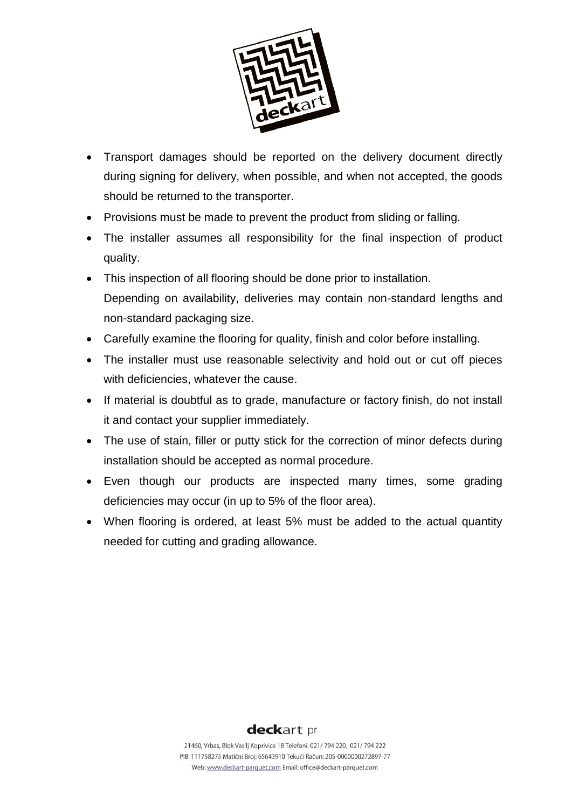

- Transport damages should be reported on the delivery document directly during signing for delivery, when possible, and when not accepted, the goods should be returned to the transporter.
- Provisions must be made to prevent the product from sliding or falling.
- The installer assumes all responsibility for the final inspection of product quality.
- This inspection of all flooring should be done prior to installation. Depending on availability, deliveries may contain non-standard lengths and non-standard packaging size.
- Carefully examine the flooring for quality, finish and color before installing.
- The installer must use reasonable selectivity and hold out or cut off pieces with deficiencies, whatever the cause.
- If material is doubtful as to grade, manufacture or factory finish, do not install it and contact your supplier immediately.
- The use of stain, filler or putty stick for the correction of minor defects during installation should be accepted as normal procedure.
- Even though our products are inspected many times, some grading deficiencies may occur (in up to 5% of the floor area).
- When flooring is ordered, at least 5% must be added to the actual quantity needed for cutting and grading allowance.

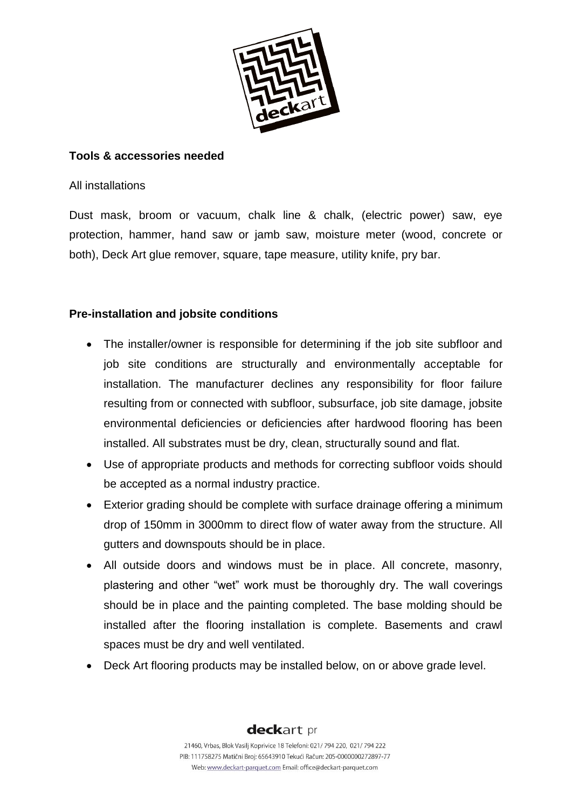

# **Tools & accessories needed**

All installations

Dust mask, broom or vacuum, chalk line & chalk, (electric power) saw, eye protection, hammer, hand saw or jamb saw, moisture meter (wood, concrete or both), Deck Art glue remover, square, tape measure, utility knife, pry bar.

# **Pre-installation and jobsite conditions**

- The installer/owner is responsible for determining if the job site subfloor and job site conditions are structurally and environmentally acceptable for installation. The manufacturer declines any responsibility for floor failure resulting from or connected with subfloor, subsurface, job site damage, jobsite environmental deficiencies or deficiencies after hardwood flooring has been installed. All substrates must be dry, clean, structurally sound and flat.
- Use of appropriate products and methods for correcting subfloor voids should be accepted as a normal industry practice.
- Exterior grading should be complete with surface drainage offering a minimum drop of 150mm in 3000mm to direct flow of water away from the structure. All gutters and downspouts should be in place.
- All outside doors and windows must be in place. All concrete, masonry, plastering and other "wet" work must be thoroughly dry. The wall coverings should be in place and the painting completed. The base molding should be installed after the flooring installation is complete. Basements and crawl spaces must be dry and well ventilated.
- Deck Art flooring products may be installed below, on or above grade level.

deckart pr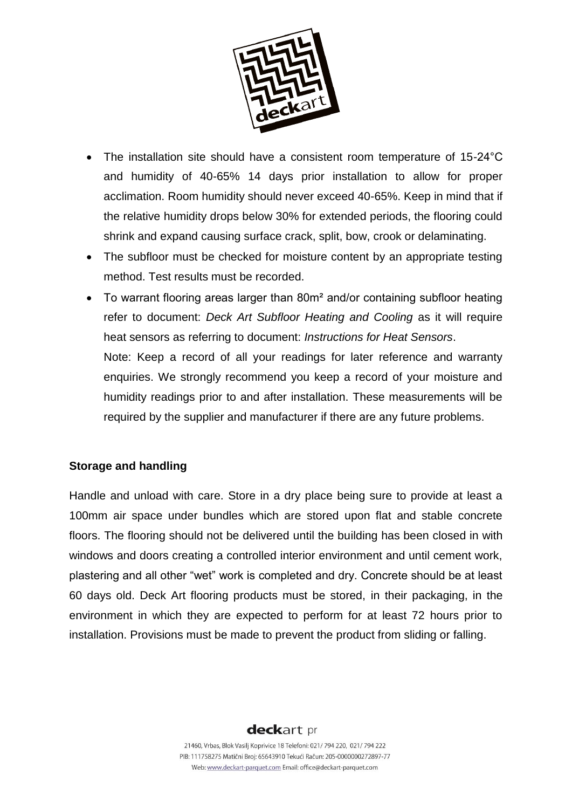

- The installation site should have a consistent room temperature of 15-24°C and humidity of 40-65% 14 days prior installation to allow for proper acclimation. Room humidity should never exceed 40-65%. Keep in mind that if the relative humidity drops below 30% for extended periods, the flooring could shrink and expand causing surface crack, split, bow, crook or delaminating.
- The subfloor must be checked for moisture content by an appropriate testing method. Test results must be recorded.
- To warrant flooring areas larger than 80m<sup>2</sup> and/or containing subfloor heating refer to document: *Deck Art Subfloor Heating and Cooling* as it will require heat sensors as referring to document: *Instructions for Heat Sensors*. Note: Keep a record of all your readings for later reference and warranty enquiries. We strongly recommend you keep a record of your moisture and humidity readings prior to and after installation. These measurements will be required by the supplier and manufacturer if there are any future problems.

# **Storage and handling**

Handle and unload with care. Store in a dry place being sure to provide at least a 100mm air space under bundles which are stored upon flat and stable concrete floors. The flooring should not be delivered until the building has been closed in with windows and doors creating a controlled interior environment and until cement work, plastering and all other "wet" work is completed and dry. Concrete should be at least 60 days old. Deck Art flooring products must be stored, in their packaging, in the environment in which they are expected to perform for at least 72 hours prior to installation. Provisions must be made to prevent the product from sliding or falling.

# deckart pr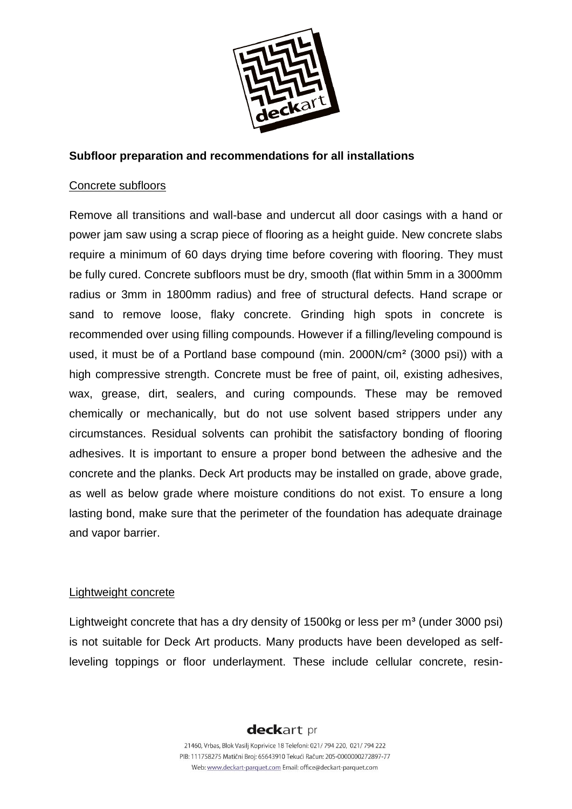

# **Subfloor preparation and recommendations for all installations**

#### Concrete subfloors

Remove all transitions and wall-base and undercut all door casings with a hand or power jam saw using a scrap piece of flooring as a height guide. New concrete slabs require a minimum of 60 days drying time before covering with flooring. They must be fully cured. Concrete subfloors must be dry, smooth (flat within 5mm in a 3000mm radius or 3mm in 1800mm radius) and free of structural defects. Hand scrape or sand to remove loose, flaky concrete. Grinding high spots in concrete is recommended over using filling compounds. However if a filling/leveling compound is used, it must be of a Portland base compound (min. 2000N/cm² (3000 psi)) with a high compressive strength. Concrete must be free of paint, oil, existing adhesives, wax, grease, dirt, sealers, and curing compounds. These may be removed chemically or mechanically, but do not use solvent based strippers under any circumstances. Residual solvents can prohibit the satisfactory bonding of flooring adhesives. It is important to ensure a proper bond between the adhesive and the concrete and the planks. Deck Art products may be installed on grade, above grade, as well as below grade where moisture conditions do not exist. To ensure a long lasting bond, make sure that the perimeter of the foundation has adequate drainage and vapor barrier.

# Lightweight concrete

Lightweight concrete that has a dry density of 1500kg or less per  $m<sup>3</sup>$  (under 3000 psi) is not suitable for Deck Art products. Many products have been developed as selfleveling toppings or floor underlayment. These include cellular concrete, resin-

# deckart pr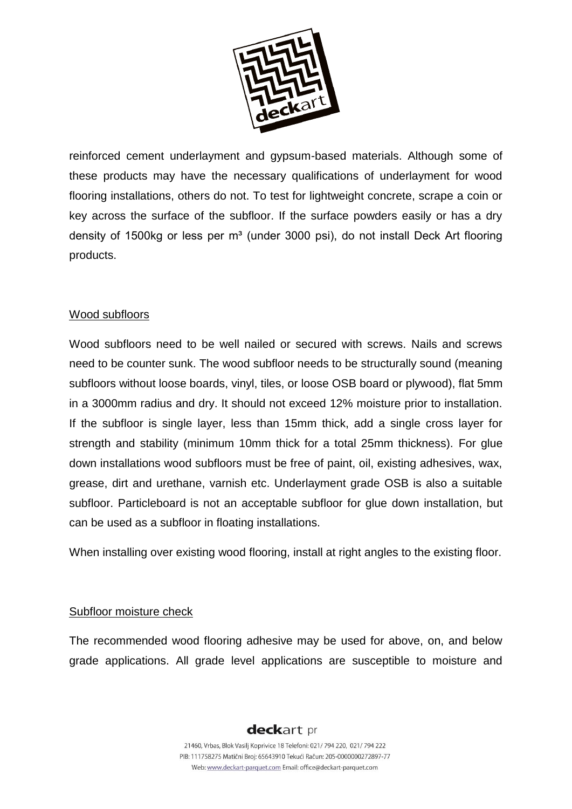

reinforced cement underlayment and gypsum-based materials. Although some of these products may have the necessary qualifications of underlayment for wood flooring installations, others do not. To test for lightweight concrete, scrape a coin or key across the surface of the subfloor. If the surface powders easily or has a dry density of 1500kg or less per m<sup>3</sup> (under 3000 psi), do not install Deck Art flooring products.

# Wood subfloors

Wood subfloors need to be well nailed or secured with screws. Nails and screws need to be counter sunk. The wood subfloor needs to be structurally sound (meaning subfloors without loose boards, vinyl, tiles, or loose OSB board or plywood), flat 5mm in a 3000mm radius and dry. It should not exceed 12% moisture prior to installation. If the subfloor is single layer, less than 15mm thick, add a single cross layer for strength and stability (minimum 10mm thick for a total 25mm thickness). For glue down installations wood subfloors must be free of paint, oil, existing adhesives, wax, grease, dirt and urethane, varnish etc. Underlayment grade OSB is also a suitable subfloor. Particleboard is not an acceptable subfloor for glue down installation, but can be used as a subfloor in floating installations.

When installing over existing wood flooring, install at right angles to the existing floor.

# Subfloor moisture check

The recommended wood flooring adhesive may be used for above, on, and below grade applications. All grade level applications are susceptible to moisture and

# deckart pr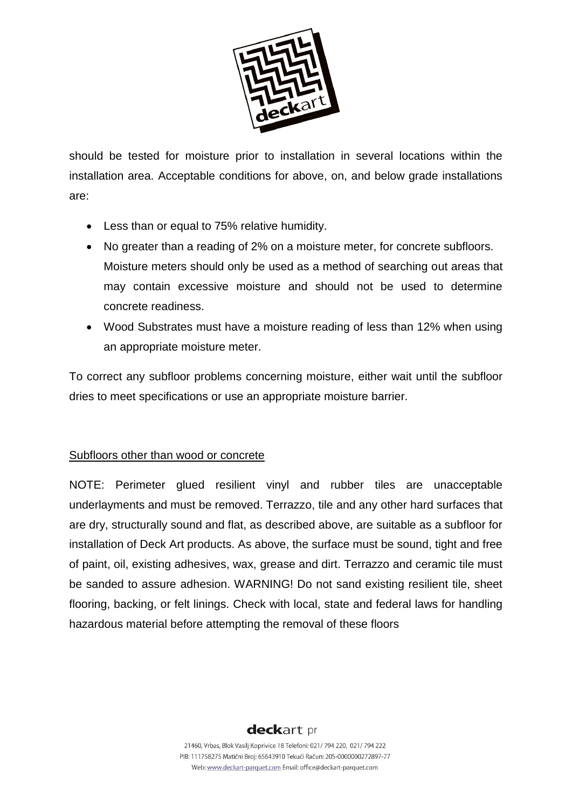

should be tested for moisture prior to installation in several locations within the installation area. Acceptable conditions for above, on, and below grade installations are:

- Less than or equal to 75% relative humidity.
- No greater than a reading of 2% on a moisture meter, for concrete subfloors. Moisture meters should only be used as a method of searching out areas that may contain excessive moisture and should not be used to determine concrete readiness.
- Wood Substrates must have a moisture reading of less than 12% when using an appropriate moisture meter.

To correct any subfloor problems concerning moisture, either wait until the subfloor dries to meet specifications or use an appropriate moisture barrier.

# Subfloors other than wood or concrete

NOTE: Perimeter glued resilient vinyl and rubber tiles are unacceptable underlayments and must be removed. Terrazzo, tile and any other hard surfaces that are dry, structurally sound and flat, as described above, are suitable as a subfloor for installation of Deck Art products. As above, the surface must be sound, tight and free of paint, oil, existing adhesives, wax, grease and dirt. Terrazzo and ceramic tile must be sanded to assure adhesion. WARNING! Do not sand existing resilient tile, sheet flooring, backing, or felt linings. Check with local, state and federal laws for handling hazardous material before attempting the removal of these floors

# deckart pr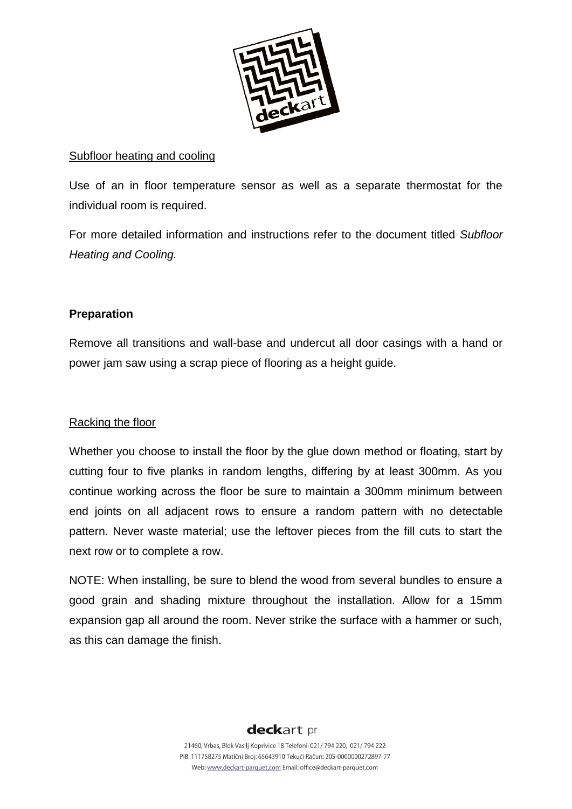

### Subfloor heating and cooling

Use of an in floor temperature sensor as well as a separate thermostat for the individual room is required.

For more detailed information and instructions refer to the document titled *Subfloor Heating and Cooling.* 

# **Preparation**

Remove all transitions and wall-base and undercut all door casings with a hand or power jam saw using a scrap piece of flooring as a height guide.

# Racking the floor

Whether you choose to install the floor by the glue down method or floating, start by cutting four to five planks in random lengths, differing by at least 300mm. As you continue working across the floor be sure to maintain a 300mm minimum between end joints on all adjacent rows to ensure a random pattern with no detectable pattern. Never waste material; use the leftover pieces from the fill cuts to start the next row or to complete a row.

NOTE: When installing, be sure to blend the wood from several bundles to ensure a good grain and shading mixture throughout the installation. Allow for a 15mm expansion gap all around the room. Never strike the surface with a hammer or such, as this can damage the finish.

# deckart pr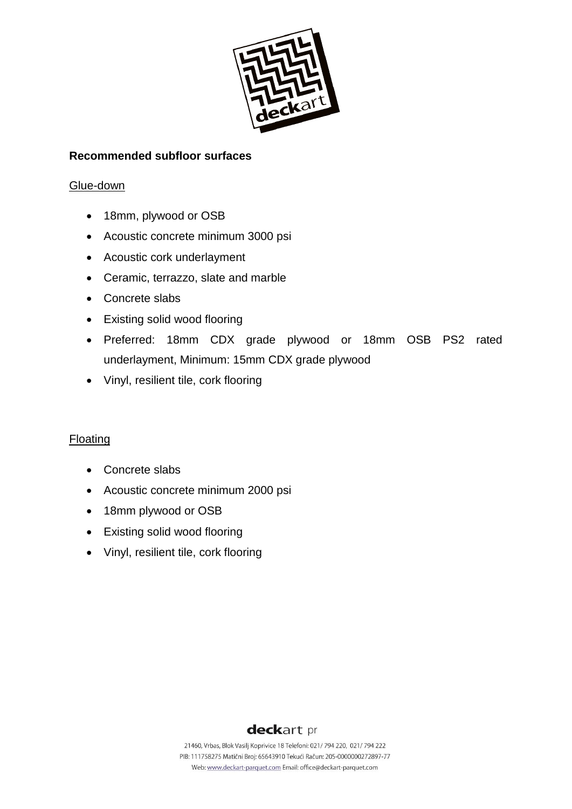

# **Recommended subfloor surfaces**

#### Glue-down

- 18mm, plywood or OSB
- Acoustic concrete minimum 3000 psi
- Acoustic cork underlayment
- Ceramic, terrazzo, slate and marble
- Concrete slabs
- Existing solid wood flooring
- Preferred: 18mm CDX grade plywood or 18mm OSB PS2 rated underlayment, Minimum: 15mm CDX grade plywood
- Vinyl, resilient tile, cork flooring

# Floating

- Concrete slabs
- Acoustic concrete minimum 2000 psi
- 18mm plywood or OSB
- Existing solid wood flooring
- Vinyl, resilient tile, cork flooring

# deckart pr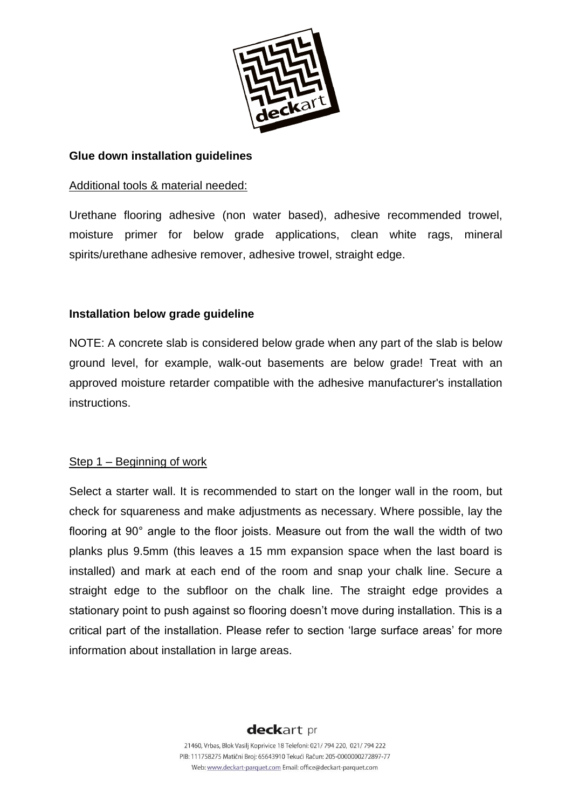

### **Glue down installation guidelines**

#### Additional tools & material needed:

Urethane flooring adhesive (non water based), adhesive recommended trowel, moisture primer for below grade applications, clean white rags, mineral spirits/urethane adhesive remover, adhesive trowel, straight edge.

# **Installation below grade guideline**

NOTE: A concrete slab is considered below grade when any part of the slab is below ground level, for example, walk-out basements are below grade! Treat with an approved moisture retarder compatible with the adhesive manufacturer's installation instructions.

#### Step 1 – Beginning of work

Select a starter wall. It is recommended to start on the longer wall in the room, but check for squareness and make adjustments as necessary. Where possible, lay the flooring at 90° angle to the floor joists. Measure out from the wall the width of two planks plus 9.5mm (this leaves a 15 mm expansion space when the last board is installed) and mark at each end of the room and snap your chalk line. Secure a straight edge to the subfloor on the chalk line. The straight edge provides a stationary point to push against so flooring doesn't move during installation. This is a critical part of the installation. Please refer to section 'large surface areas' for more information about installation in large areas.

# deckart pr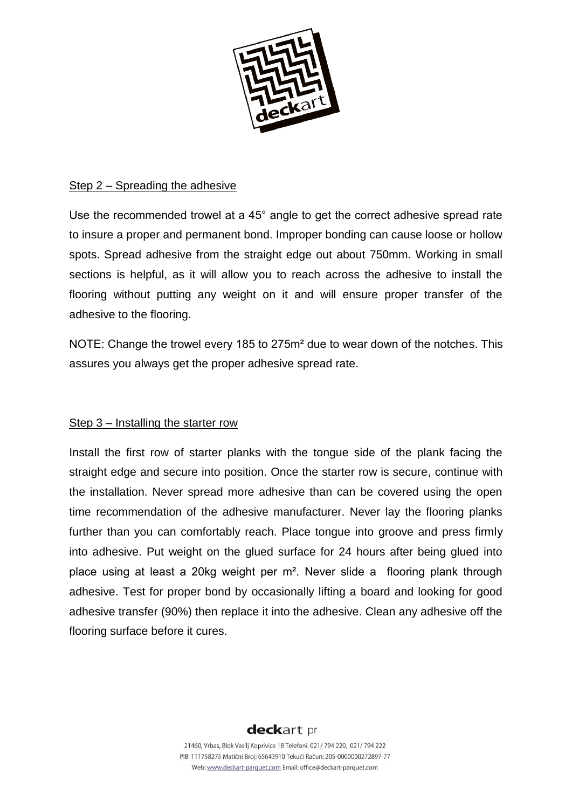

#### Step 2 – Spreading the adhesive

Use the recommended trowel at a 45° angle to get the correct adhesive spread rate to insure a proper and permanent bond. Improper bonding can cause loose or hollow spots. Spread adhesive from the straight edge out about 750mm. Working in small sections is helpful, as it will allow you to reach across the adhesive to install the flooring without putting any weight on it and will ensure proper transfer of the adhesive to the flooring.

NOTE: Change the trowel every 185 to 275m² due to wear down of the notches. This assures you always get the proper adhesive spread rate.

# Step 3 – Installing the starter row

Install the first row of starter planks with the tongue side of the plank facing the straight edge and secure into position. Once the starter row is secure, continue with the installation. Never spread more adhesive than can be covered using the open time recommendation of the adhesive manufacturer. Never lay the flooring planks further than you can comfortably reach. Place tongue into groove and press firmly into adhesive. Put weight on the glued surface for 24 hours after being glued into place using at least a 20kg weight per m². Never slide a flooring plank through adhesive. Test for proper bond by occasionally lifting a board and looking for good adhesive transfer (90%) then replace it into the adhesive. Clean any adhesive off the flooring surface before it cures.

# deckart pr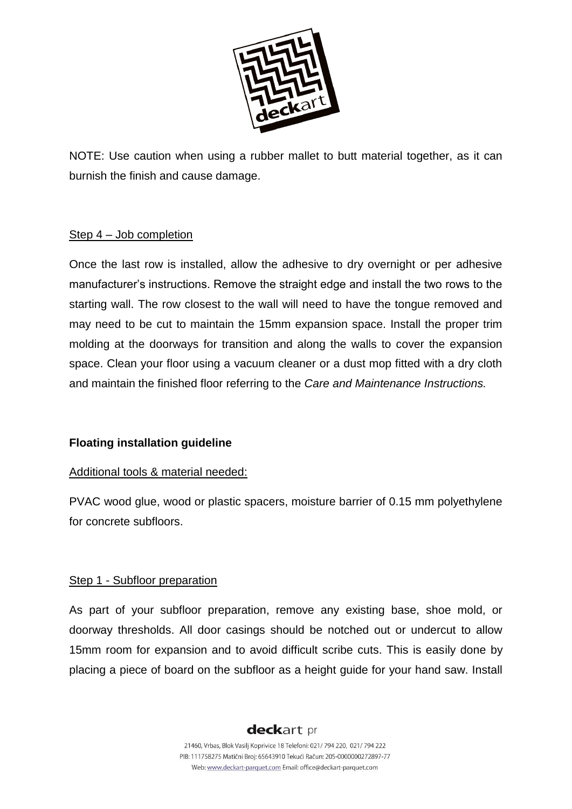

NOTE: Use caution when using a rubber mallet to butt material together, as it can burnish the finish and cause damage.

# Step 4 – Job completion

Once the last row is installed, allow the adhesive to dry overnight or per adhesive manufacturer's instructions. Remove the straight edge and install the two rows to the starting wall. The row closest to the wall will need to have the tongue removed and may need to be cut to maintain the 15mm expansion space. Install the proper trim molding at the doorways for transition and along the walls to cover the expansion space. Clean your floor using a vacuum cleaner or a dust mop fitted with a dry cloth and maintain the finished floor referring to the *Care and Maintenance Instructions.*

# **Floating installation guideline**

# Additional tools & material needed:

PVAC wood glue, wood or plastic spacers, moisture barrier of 0.15 mm polyethylene for concrete subfloors.

# Step 1 - Subfloor preparation

As part of your subfloor preparation, remove any existing base, shoe mold, or doorway thresholds. All door casings should be notched out or undercut to allow 15mm room for expansion and to avoid difficult scribe cuts. This is easily done by placing a piece of board on the subfloor as a height guide for your hand saw. Install

# deckart pr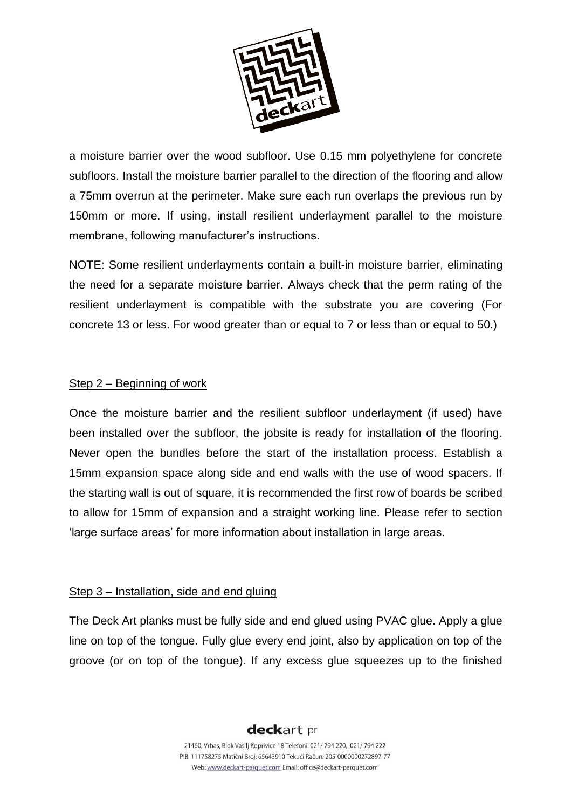

a moisture barrier over the wood subfloor. Use 0.15 mm polyethylene for concrete subfloors. Install the moisture barrier parallel to the direction of the flooring and allow a 75mm overrun at the perimeter. Make sure each run overlaps the previous run by 150mm or more. If using, install resilient underlayment parallel to the moisture membrane, following manufacturer's instructions.

NOTE: Some resilient underlayments contain a built-in moisture barrier, eliminating the need for a separate moisture barrier. Always check that the perm rating of the resilient underlayment is compatible with the substrate you are covering (For concrete 13 or less. For wood greater than or equal to 7 or less than or equal to 50.)

#### Step 2 – Beginning of work

Once the moisture barrier and the resilient subfloor underlayment (if used) have been installed over the subfloor, the jobsite is ready for installation of the flooring. Never open the bundles before the start of the installation process. Establish a 15mm expansion space along side and end walls with the use of wood spacers. If the starting wall is out of square, it is recommended the first row of boards be scribed to allow for 15mm of expansion and a straight working line. Please refer to section 'large surface areas' for more information about installation in large areas.

#### Step 3 – Installation, side and end gluing

The Deck Art planks must be fully side and end glued using PVAC glue. Apply a glue line on top of the tongue. Fully glue every end joint, also by application on top of the groove (or on top of the tongue). If any excess glue squeezes up to the finished

# deckart pr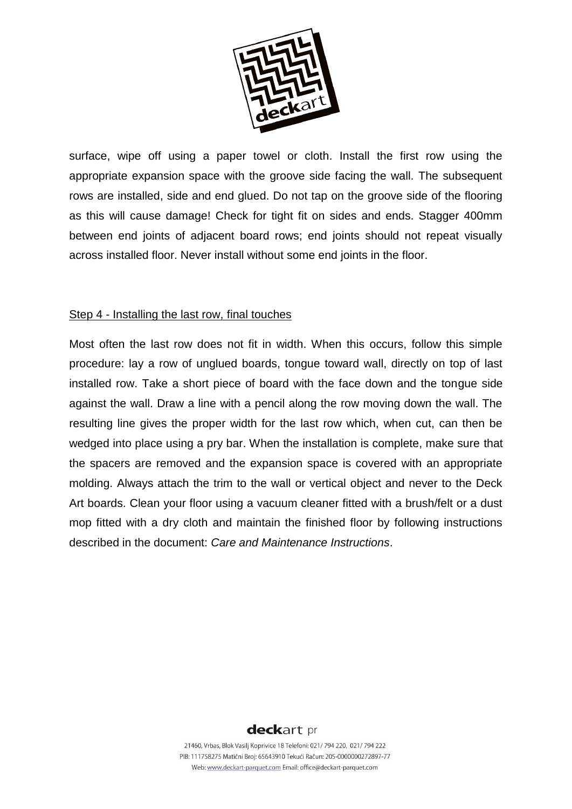

surface, wipe off using a paper towel or cloth. Install the first row using the appropriate expansion space with the groove side facing the wall. The subsequent rows are installed, side and end glued. Do not tap on the groove side of the flooring as this will cause damage! Check for tight fit on sides and ends. Stagger 400mm between end joints of adjacent board rows; end joints should not repeat visually across installed floor. Never install without some end joints in the floor.

#### Step 4 - Installing the last row, final touches

Most often the last row does not fit in width. When this occurs, follow this simple procedure: lay a row of unglued boards, tongue toward wall, directly on top of last installed row. Take a short piece of board with the face down and the tongue side against the wall. Draw a line with a pencil along the row moving down the wall. The resulting line gives the proper width for the last row which, when cut, can then be wedged into place using a pry bar. When the installation is complete, make sure that the spacers are removed and the expansion space is covered with an appropriate molding. Always attach the trim to the wall or vertical object and never to the Deck Art boards. Clean your floor using a vacuum cleaner fitted with a brush/felt or a dust mop fitted with a dry cloth and maintain the finished floor by following instructions described in the document: *Care and Maintenance Instructions*.

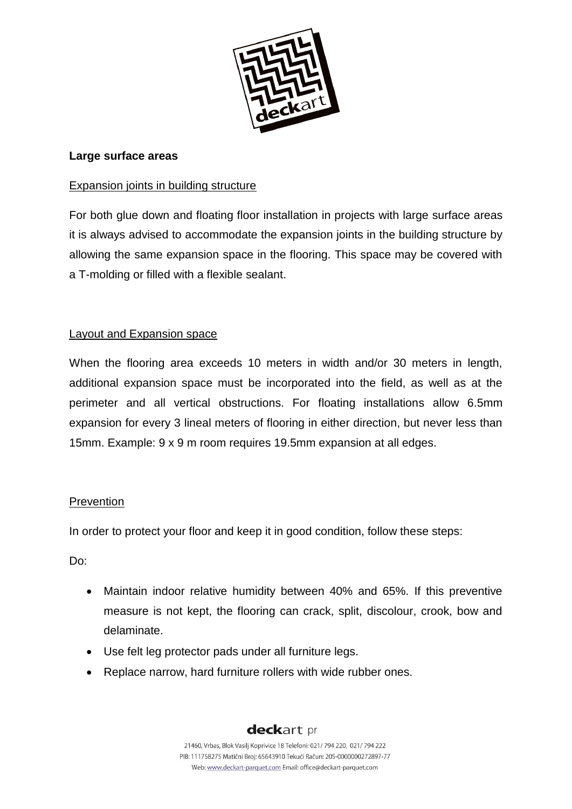

# **Large surface areas**

# Expansion joints in building structure

For both glue down and floating floor installation in projects with large surface areas it is always advised to accommodate the expansion joints in the building structure by allowing the same expansion space in the flooring. This space may be covered with a T-molding or filled with a flexible sealant.

# Layout and Expansion space

When the flooring area exceeds 10 meters in width and/or 30 meters in length, additional expansion space must be incorporated into the field, as well as at the perimeter and all vertical obstructions. For floating installations allow 6.5mm expansion for every 3 lineal meters of flooring in either direction, but never less than 15mm. Example: 9 x 9 m room requires 19.5mm expansion at all edges.

# Prevention

In order to protect your floor and keep it in good condition, follow these steps:

Do:

- Maintain indoor relative humidity between 40% and 65%. If this preventive measure is not kept, the flooring can crack, split, discolour, crook, bow and delaminate.
- Use felt leg protector pads under all furniture legs.
- Replace narrow, hard furniture rollers with wide rubber ones.

# deckart pr